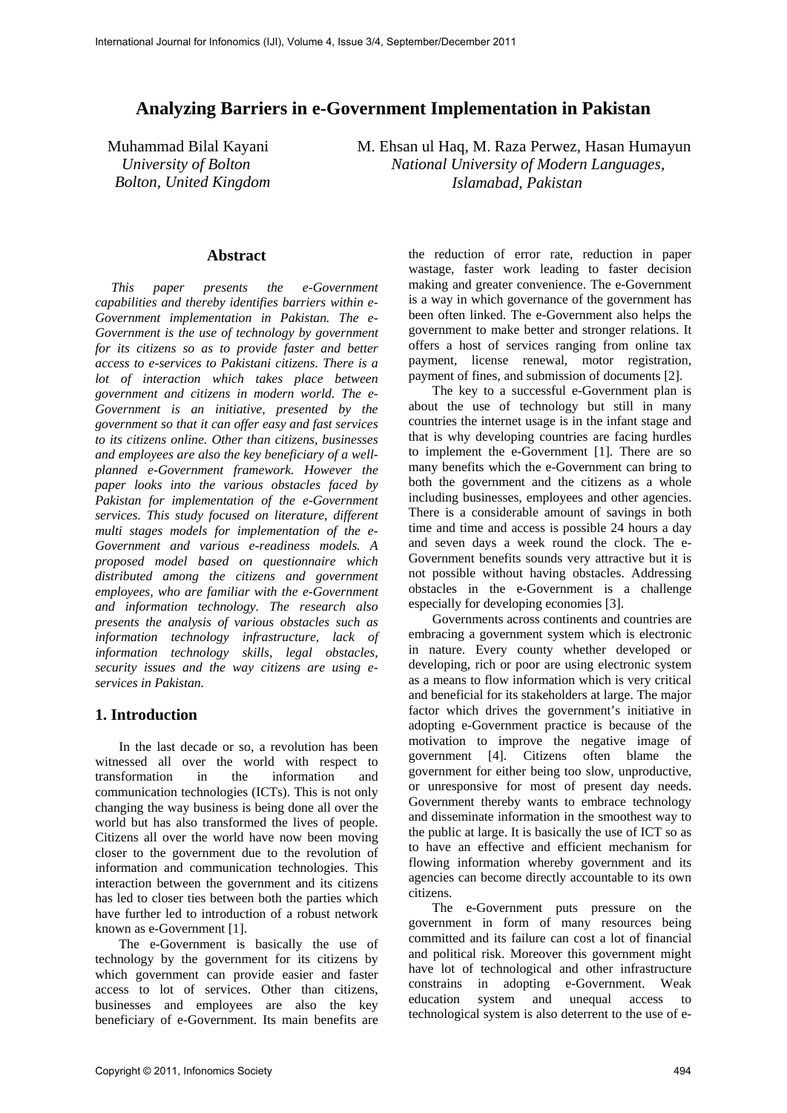# **Analyzing Barriers in e-Government Implementation in Pakistan**

Muhammad Bilal Kayani M. Ehsan ul Haq, M. Raza Perwez, Hasan Humayun *University of Bolton National University of Modern Languages, Bolton, United Kingdom Islamabad, Pakistan* 

#### **Abstract**

*This paper presents the e-Government capabilities and thereby identifies barriers within e-Government implementation in Pakistan. The e-Government is the use of technology by government for its citizens so as to provide faster and better access to e-services to Pakistani citizens. There is a lot of interaction which takes place between government and citizens in modern world. The e-Government is an initiative, presented by the government so that it can offer easy and fast services to its citizens online. Other than citizens, businesses and employees are also the key beneficiary of a wellplanned e-Government framework. However the paper looks into the various obstacles faced by Pakistan for implementation of the e-Government services. This study focused on literature, different multi stages models for implementation of the e-Government and various e-readiness models. A proposed model based on questionnaire which distributed among the citizens and government employees, who are familiar with the e-Government and information technology. The research also presents the analysis of various obstacles such as information technology infrastructure, lack of information technology skills, legal obstacles, security issues and the way citizens are using eservices in Pakistan.* 

## **1. Introduction**

In the last decade or so, a revolution has been witnessed all over the world with respect to transformation in the information and communication technologies (ICTs). This is not only changing the way business is being done all over the world but has also transformed the lives of people. Citizens all over the world have now been moving closer to the government due to the revolution of information and communication technologies. This interaction between the government and its citizens has led to closer ties between both the parties which have further led to introduction of a robust network known as e-Government [1].

The e-Government is basically the use of technology by the government for its citizens by which government can provide easier and faster access to lot of services. Other than citizens, businesses and employees are also the key beneficiary of e-Government. Its main benefits are the reduction of error rate, reduction in paper wastage, faster work leading to faster decision making and greater convenience. The e-Government is a way in which governance of the government has been often linked. The e-Government also helps the government to make better and stronger relations. It offers a host of services ranging from online tax payment, license renewal, motor registration, payment of fines, and submission of documents [2].

The key to a successful e-Government plan is about the use of technology but still in many countries the internet usage is in the infant stage and that is why developing countries are facing hurdles to implement the e-Government [1]. There are so many benefits which the e-Government can bring to both the government and the citizens as a whole including businesses, employees and other agencies. There is a considerable amount of savings in both time and time and access is possible 24 hours a day and seven days a week round the clock. The e-Government benefits sounds very attractive but it is not possible without having obstacles. Addressing obstacles in the e-Government is a challenge especially for developing economies [3].

Governments across continents and countries are embracing a government system which is electronic in nature. Every county whether developed or developing, rich or poor are using electronic system as a means to flow information which is very critical and beneficial for its stakeholders at large. The major factor which drives the government's initiative in adopting e-Government practice is because of the motivation to improve the negative image of government [4]. Citizens often blame the government for either being too slow, unproductive, or unresponsive for most of present day needs. Government thereby wants to embrace technology and disseminate information in the smoothest way to the public at large. It is basically the use of ICT so as to have an effective and efficient mechanism for flowing information whereby government and its agencies can become directly accountable to its own citizens.

The e-Government puts pressure on the government in form of many resources being committed and its failure can cost a lot of financial and political risk. Moreover this government might have lot of technological and other infrastructure constrains in adopting e-Government. Weak education system and unequal access to technological system is also deterrent to the use of e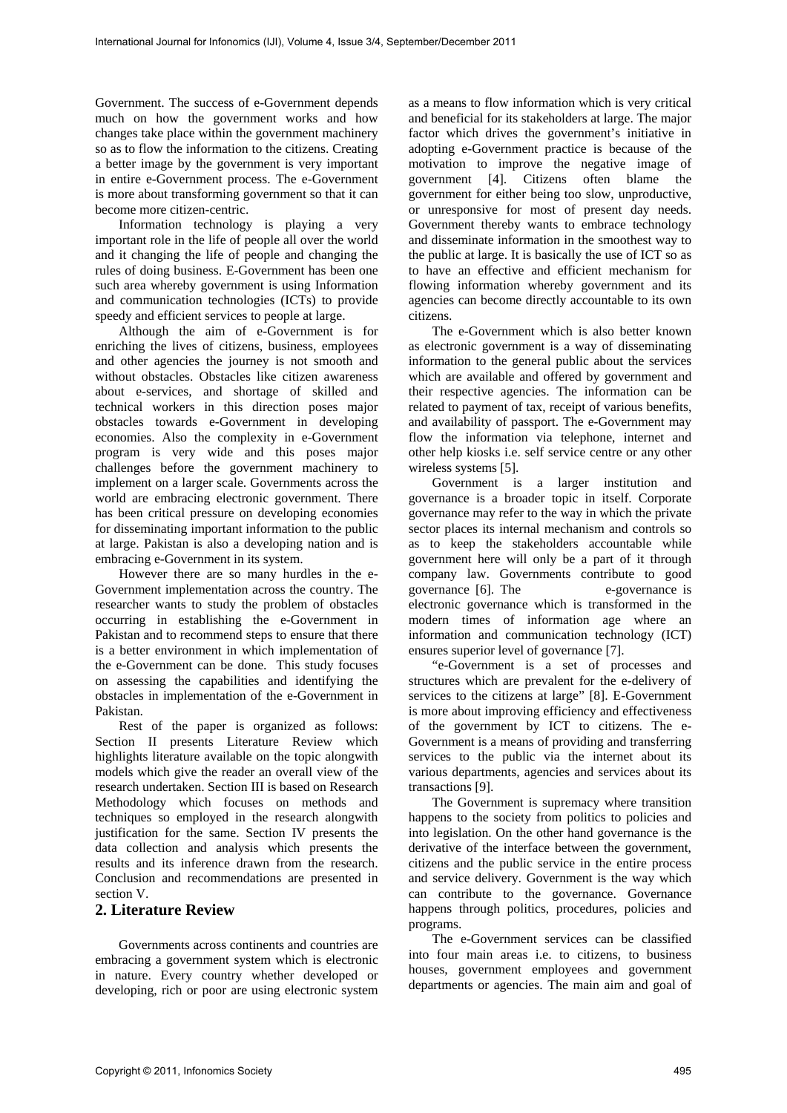Government. The success of e-Government depends much on how the government works and how changes take place within the government machinery so as to flow the information to the citizens. Creating a better image by the government is very important in entire e-Government process. The e-Government is more about transforming government so that it can become more citizen-centric.

Information technology is playing a very important role in the life of people all over the world and it changing the life of people and changing the rules of doing business. E-Government has been one such area whereby government is using Information and communication technologies (ICTs) to provide speedy and efficient services to people at large.

Although the aim of e-Government is for enriching the lives of citizens, business, employees and other agencies the journey is not smooth and without obstacles. Obstacles like citizen awareness about e-services, and shortage of skilled and technical workers in this direction poses major obstacles towards e-Government in developing economies. Also the complexity in e-Government program is very wide and this poses major challenges before the government machinery to implement on a larger scale. Governments across the world are embracing electronic government. There has been critical pressure on developing economies for disseminating important information to the public at large. Pakistan is also a developing nation and is embracing e-Government in its system.

However there are so many hurdles in the e-Government implementation across the country. The researcher wants to study the problem of obstacles occurring in establishing the e-Government in Pakistan and to recommend steps to ensure that there is a better environment in which implementation of the e-Government can be done. This study focuses on assessing the capabilities and identifying the obstacles in implementation of the e-Government in Pakistan.

Rest of the paper is organized as follows: Section II presents Literature Review which highlights literature available on the topic alongwith models which give the reader an overall view of the research undertaken. Section III is based on Research Methodology which focuses on methods and techniques so employed in the research alongwith justification for the same. Section IV presents the data collection and analysis which presents the results and its inference drawn from the research. Conclusion and recommendations are presented in section V.

## **2. Literature Review**

Governments across continents and countries are embracing a government system which is electronic in nature. Every country whether developed or developing, rich or poor are using electronic system

as a means to flow information which is very critical and beneficial for its stakeholders at large. The major factor which drives the government's initiative in adopting e-Government practice is because of the motivation to improve the negative image of government [4]. Citizens often blame the government for either being too slow, unproductive, or unresponsive for most of present day needs. Government thereby wants to embrace technology and disseminate information in the smoothest way to the public at large. It is basically the use of ICT so as to have an effective and efficient mechanism for flowing information whereby government and its agencies can become directly accountable to its own citizens.

The e-Government which is also better known as electronic government is a way of disseminating information to the general public about the services which are available and offered by government and their respective agencies. The information can be related to payment of tax, receipt of various benefits, and availability of passport. The e-Government may flow the information via telephone, internet and other help kiosks i.e. self service centre or any other wireless systems [5].

Government is a larger institution and governance is a broader topic in itself. Corporate governance may refer to the way in which the private sector places its internal mechanism and controls so as to keep the stakeholders accountable while government here will only be a part of it through company law. Governments contribute to good governance [6]. The e-governance is electronic governance which is transformed in the modern times of information age where an information and communication technology (ICT) ensures superior level of governance [7].

"e-Government is a set of processes and structures which are prevalent for the e-delivery of services to the citizens at large" [8]. E-Government is more about improving efficiency and effectiveness of the government by ICT to citizens. The e-Government is a means of providing and transferring services to the public via the internet about its various departments, agencies and services about its transactions [9].

The Government is supremacy where transition happens to the society from politics to policies and into legislation. On the other hand governance is the derivative of the interface between the government, citizens and the public service in the entire process and service delivery. Government is the way which can contribute to the governance. Governance happens through politics, procedures, policies and programs.

The e-Government services can be classified into four main areas i.e. to citizens, to business houses, government employees and government departments or agencies. The main aim and goal of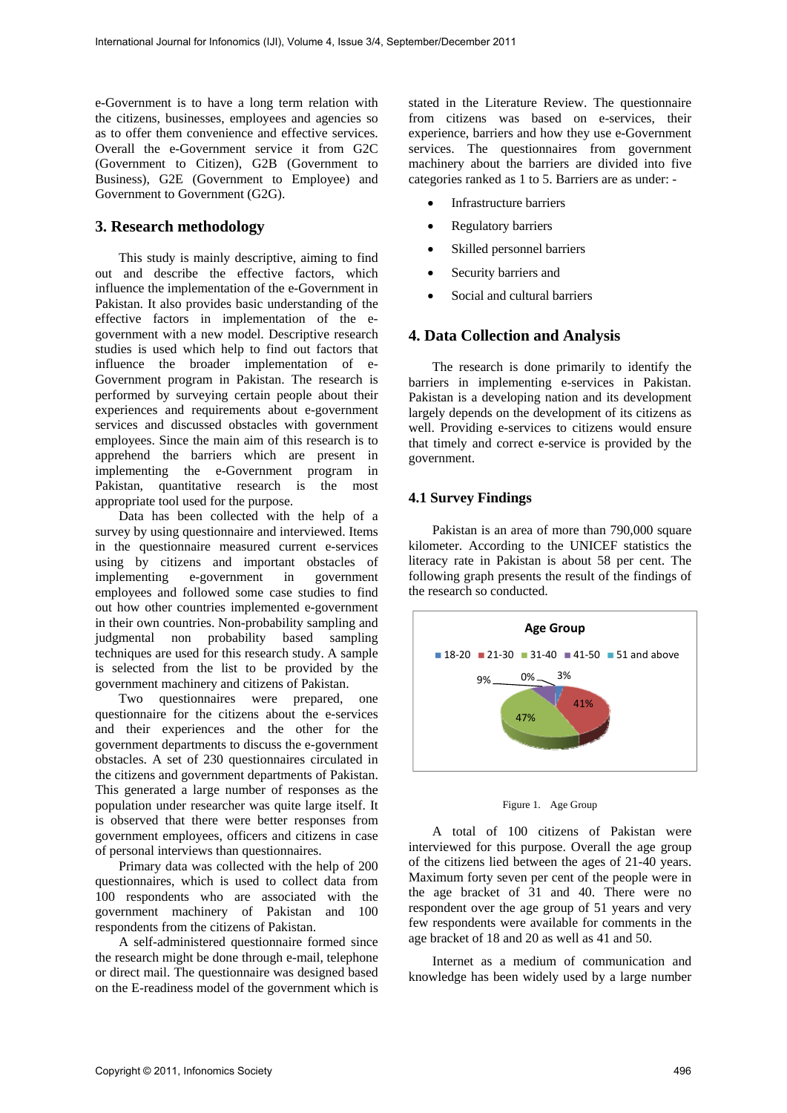e-Government is to have a long term relation with the citizens, businesses, employees and agencies so as to offer them convenience and effective services. Overall the e-Government service it from G2C (Government to Citizen), G2B (Government to Business), G2E (Government to Employee) and Government to Government (G2G).

### **3. Research methodology**

This study is mainly descriptive, aiming to find out and describe the effective factors, which influence the implementation of the e-Government in Pakistan. It also provides basic understanding of the effective factors in implementation of the egovernment with a new model. Descriptive research studies is used which help to find out factors that influence the broader implementation of e-Government program in Pakistan. The research is performed by surveying certain people about their experiences and requirements about e-government services and discussed obstacles with government employees. Since the main aim of this research is to apprehend the barriers which are present in implementing the e-Government program in Pakistan, quantitative research is the most appropriate tool used for the purpose.

Data has been collected with the help of a survey by using questionnaire and interviewed. Items in the questionnaire measured current e-services using by citizens and important obstacles of implementing e-government in government employees and followed some case studies to find out how other countries implemented e-government in their own countries. Non-probability sampling and judgmental non probability based sampling techniques are used for this research study. A sample is selected from the list to be provided by the government machinery and citizens of Pakistan.

Two questionnaires were prepared, one questionnaire for the citizens about the e-services and their experiences and the other for the government departments to discuss the e-government obstacles. A set of 230 questionnaires circulated in the citizens and government departments of Pakistan. This generated a large number of responses as the population under researcher was quite large itself. It is observed that there were better responses from government employees, officers and citizens in case of personal interviews than questionnaires.

Primary data was collected with the help of 200 questionnaires, which is used to collect data from 100 respondents who are associated with the government machinery of Pakistan and 100 respondents from the citizens of Pakistan.

A self-administered questionnaire formed since the research might be done through e-mail, telephone or direct mail. The questionnaire was designed based on the E-readiness model of the government which is

stated in the Literature Review. The questionnaire from citizens was based on e-services, their experience, barriers and how they use e-Government services. The questionnaires from government machinery about the barriers are divided into five categories ranked as 1 to 5. Barriers are as under: -

- Infrastructure barriers
- Regulatory barriers
- Skilled personnel barriers
- Security barriers and
- Social and cultural barriers

### **4. Data Collection and Analysis**

The research is done primarily to identify the barriers in implementing e-services in Pakistan. Pakistan is a developing nation and its development largely depends on the development of its citizens as well. Providing e-services to citizens would ensure that timely and correct e-service is provided by the government.

## **4.1 Survey Findings**

Pakistan is an area of more than 790,000 square kilometer. According to the UNICEF statistics the literacy rate in Pakistan is about 58 per cent. The following graph presents the result of the findings of the research so conducted.





A total of 100 citizens of Pakistan were interviewed for this purpose. Overall the age group of the citizens lied between the ages of 21-40 years. Maximum forty seven per cent of the people were in the age bracket of 31 and 40. There were no respondent over the age group of 51 years and very few respondents were available for comments in the age bracket of 18 and 20 as well as 41 and 50.

Internet as a medium of communication and knowledge has been widely used by a large number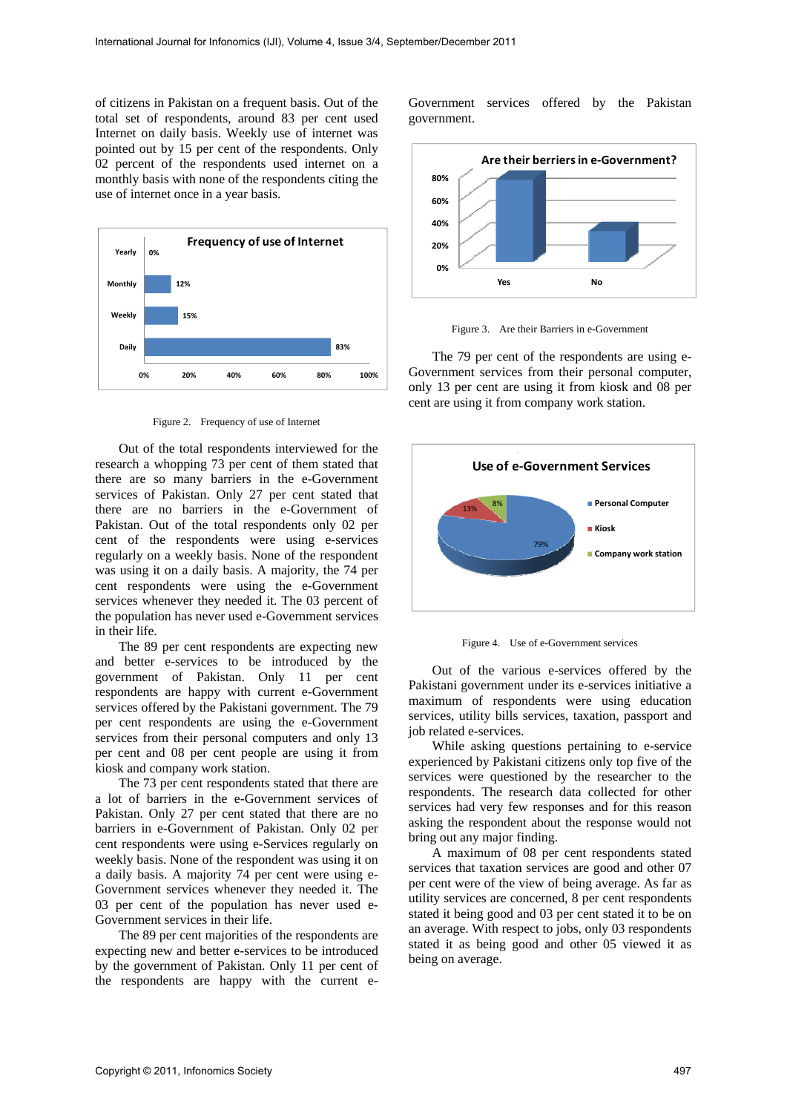of citizens in Pakistan on a frequent basis. Out of the total set of respondents, around 83 per cent used Internet on daily basis. Weekly use of internet was pointed out by 15 per cent of the respondents. Only 02 percent of the respondents used internet on a monthly basis with none of the respondents citing the use of internet once in a year basis.



Figure 2. Frequency of use of Internet

Out of the total respondents interviewed for the research a whopping 73 per cent of them stated that there are so many barriers in the e-Government services of Pakistan. Only 27 per cent stated that there are no barriers in the e-Government of Pakistan. Out of the total respondents only 02 per cent of the respondents were using e-services regularly on a weekly basis. None of the respondent was using it on a daily basis. A majority, the 74 per cent respondents were using the e-Government services whenever they needed it. The 03 percent of the population has never used e-Government services in their life.

The 89 per cent respondents are expecting new and better e-services to be introduced by the government of Pakistan. Only 11 per cent respondents are happy with current e-Government services offered by the Pakistani government. The 79 per cent respondents are using the e-Government services from their personal computers and only 13 per cent and 08 per cent people are using it from kiosk and company work station.

The 73 per cent respondents stated that there are a lot of barriers in the e-Government services of Pakistan. Only 27 per cent stated that there are no barriers in e-Government of Pakistan. Only 02 per cent respondents were using e-Services regularly on weekly basis. None of the respondent was using it on a daily basis. A majority 74 per cent were using e-Government services whenever they needed it. The 03 per cent of the population has never used e-Government services in their life.

The 89 per cent majorities of the respondents are expecting new and better e-services to be introduced by the government of Pakistan. Only 11 per cent of the respondents are happy with the current eGovernment services offered by the Pakistan government.



Figure 3. Are their Barriers in e-Government

The 79 per cent of the respondents are using e-Government services from their personal computer, only 13 per cent are using it from kiosk and 08 per cent are using it from company work station.



Figure 4. Use of e-Government services

Out of the various e-services offered by the Pakistani government under its e-services initiative a maximum of respondents were using education services, utility bills services, taxation, passport and job related e-services.

While asking questions pertaining to e-service experienced by Pakistani citizens only top five of the services were questioned by the researcher to the respondents. The research data collected for other services had very few responses and for this reason asking the respondent about the response would not bring out any major finding.

A maximum of 08 per cent respondents stated services that taxation services are good and other 07 per cent were of the view of being average. As far as utility services are concerned, 8 per cent respondents stated it being good and 03 per cent stated it to be on an average. With respect to jobs, only 03 respondents stated it as being good and other 05 viewed it as being on average.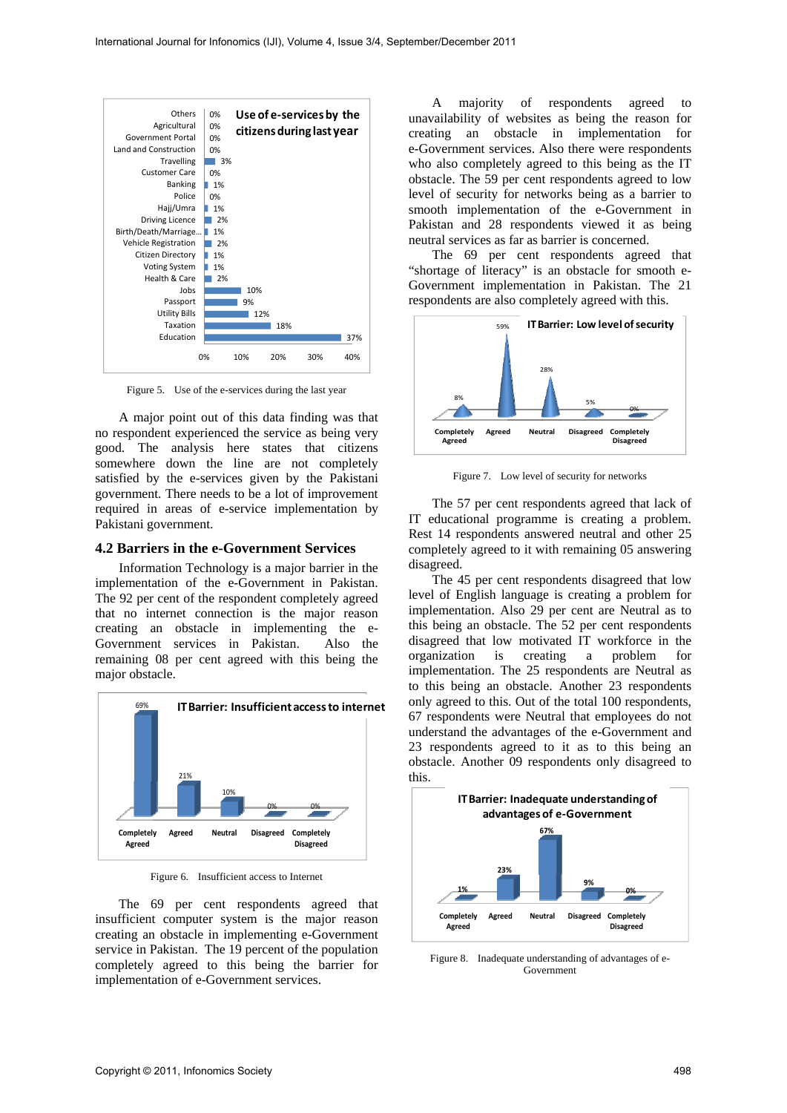

Figure 5. Use of the e-services during the last year

A major point out of this data finding was that no respondent experienced the service as being very good. The analysis here states that citizens somewhere down the line are not completely satisfied by the e-services given by the Pakistani government. There needs to be a lot of improvement required in areas of e-service implementation by Pakistani government.

#### **4.2 Barriers in the e-Government Services**

Information Technology is a major barrier in the implementation of the e-Government in Pakistan. The 92 per cent of the respondent completely agreed that no internet connection is the major reason creating an obstacle in implementing the e-Government services in Pakistan. Also the remaining 08 per cent agreed with this being the major obstacle.



Figure 6. Insufficient access to Internet

The 69 per cent respondents agreed that insufficient computer system is the major reason creating an obstacle in implementing e-Government service in Pakistan. The 19 percent of the population completely agreed to this being the barrier for implementation of e-Government services.

A majority of respondents agreed to unavailability of websites as being the reason for creating an obstacle in implementation for e-Government services. Also there were respondents who also completely agreed to this being as the IT obstacle. The 59 per cent respondents agreed to low level of security for networks being as a barrier to smooth implementation of the e-Government in Pakistan and 28 respondents viewed it as being neutral services as far as barrier is concerned.

The 69 per cent respondents agreed that "shortage of literacy" is an obstacle for smooth e-Government implementation in Pakistan. The 21 respondents are also completely agreed with this.



Figure 7. Low level of security for networks

The 57 per cent respondents agreed that lack of IT educational programme is creating a problem. Rest 14 respondents answered neutral and other 25 completely agreed to it with remaining 05 answering disagreed.

The 45 per cent respondents disagreed that low level of English language is creating a problem for implementation. Also 29 per cent are Neutral as to this being an obstacle. The 52 per cent respondents disagreed that low motivated IT workforce in the organization is creating a problem for implementation. The 25 respondents are Neutral as to this being an obstacle. Another 23 respondents only agreed to this. Out of the total 100 respondents, 67 respondents were Neutral that employees do not understand the advantages of the e-Government and 23 respondents agreed to it as to this being an obstacle. Another 09 respondents only disagreed to this.



Figure 8. Inadequate understanding of advantages of e-Government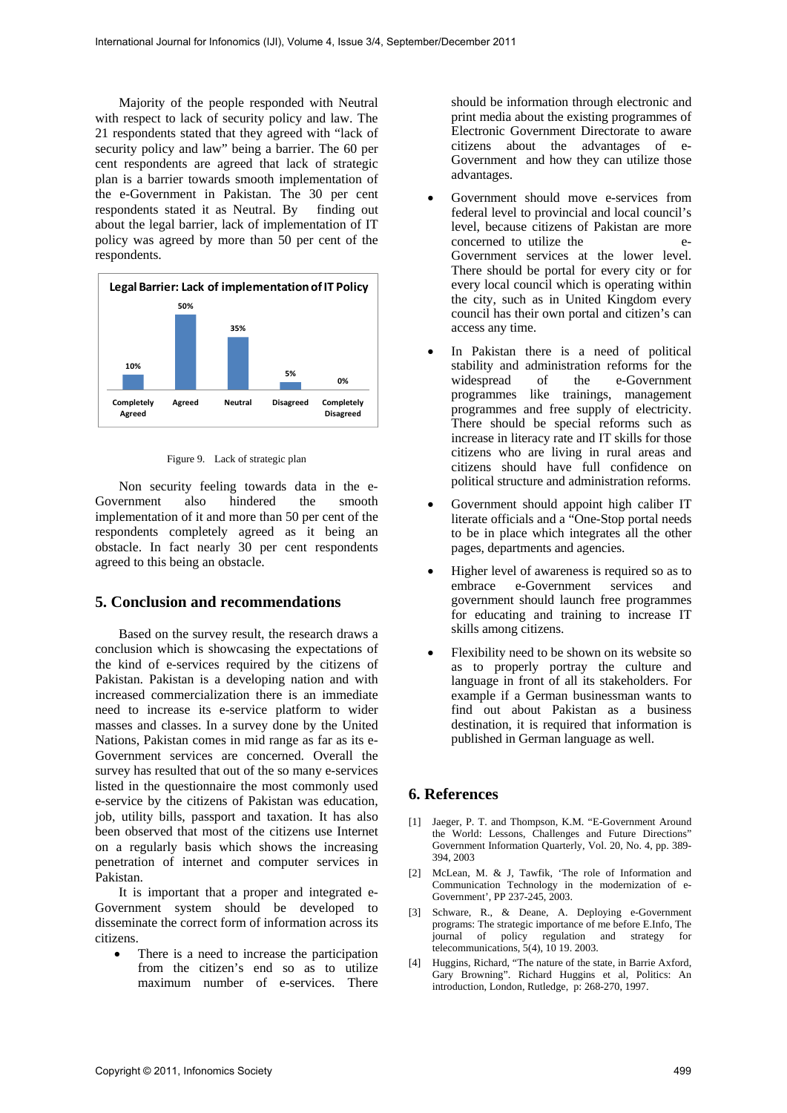Majority of the people responded with Neutral with respect to lack of security policy and law. The 21 respondents stated that they agreed with "lack of security policy and law" being a barrier. The 60 per cent respondents are agreed that lack of strategic plan is a barrier towards smooth implementation of the e-Government in Pakistan. The 30 per cent respondents stated it as Neutral. By finding out about the legal barrier, lack of implementation of IT policy was agreed by more than 50 per cent of the respondents.



Figure 9. Lack of strategic plan

Non security feeling towards data in the e-Government also hindered the smooth implementation of it and more than 50 per cent of the respondents completely agreed as it being an obstacle. In fact nearly 30 per cent respondents agreed to this being an obstacle.

## **5. Conclusion and recommendations**

Based on the survey result, the research draws a conclusion which is showcasing the expectations of the kind of e-services required by the citizens of Pakistan. Pakistan is a developing nation and with increased commercialization there is an immediate need to increase its e-service platform to wider masses and classes. In a survey done by the United Nations, Pakistan comes in mid range as far as its e-Government services are concerned. Overall the survey has resulted that out of the so many e-services listed in the questionnaire the most commonly used e-service by the citizens of Pakistan was education, job, utility bills, passport and taxation. It has also been observed that most of the citizens use Internet on a regularly basis which shows the increasing penetration of internet and computer services in Pakistan.

It is important that a proper and integrated e-Government system should be developed to disseminate the correct form of information across its citizens.

 There is a need to increase the participation from the citizen's end so as to utilize maximum number of e-services. There should be information through electronic and print media about the existing programmes of Electronic Government Directorate to aware citizens about the advantages of e-Government and how they can utilize those advantages.

- Government should move e-services from federal level to provincial and local council's level, because citizens of Pakistan are more concerned to utilize the e-Government services at the lower level. There should be portal for every city or for every local council which is operating within the city, such as in United Kingdom every council has their own portal and citizen's can access any time.
- In Pakistan there is a need of political stability and administration reforms for the widespread of the e-Government programmes like trainings, management programmes and free supply of electricity. There should be special reforms such as increase in literacy rate and IT skills for those citizens who are living in rural areas and citizens should have full confidence on political structure and administration reforms.
- Government should appoint high caliber IT literate officials and a "One-Stop portal needs to be in place which integrates all the other pages, departments and agencies.
- Higher level of awareness is required so as to embrace e-Government services and government should launch free programmes for educating and training to increase IT skills among citizens.
- Flexibility need to be shown on its website so as to properly portray the culture and language in front of all its stakeholders. For example if a German businessman wants to find out about Pakistan as a business destination, it is required that information is published in German language as well.

## **6. References**

- [1] Jaeger, P. T. and Thompson, K.M. "E-Government Around the World: Lessons, Challenges and Future Directions" Government Information Quarterly, Vol. 20, No. 4, pp. 389- 394, 2003
- [2] McLean, M. & J, Tawfik, 'The role of Information and Communication Technology in the modernization of e-Government', PP 237-245, 2003.
- [3] Schware, R., & Deane, A. Deploying e-Government programs: The strategic importance of me before E.Info, The journal of policy regulation and strategy for telecommunications, 5(4), 10 19. 2003.
- [4] Huggins, Richard, "The nature of the state, in Barrie Axford, Gary Browning". Richard Huggins et al, Politics: An introduction, London, Rutledge, p: 268-270, 1997.